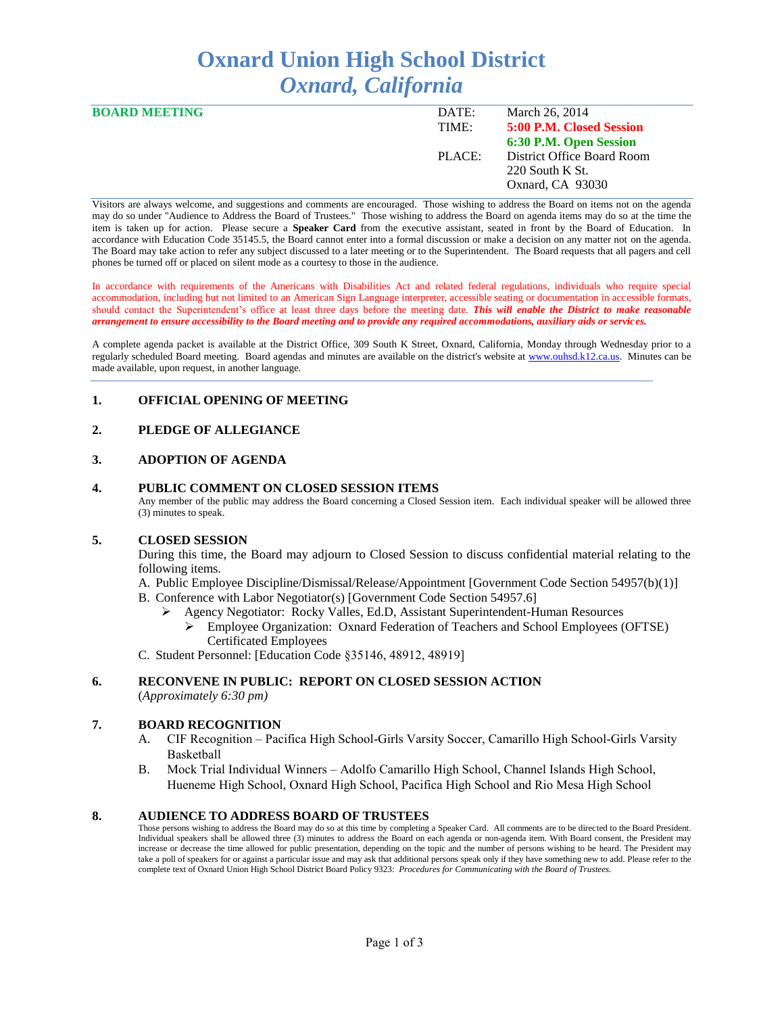# **Oxnard Union High School District** *Oxnard, California*

| DATE:  | March 26, 2014             |
|--------|----------------------------|
| TIME:  | 5:00 P.M. Closed Session   |
|        | 6:30 P.M. Open Session     |
| PLACE: | District Office Board Room |
|        | 220 South K St.            |
|        | Oxnard, CA 93030           |
|        |                            |

Visitors are always welcome, and suggestions and comments are encouraged. Those wishing to address the Board on items not on the agenda may do so under "Audience to Address the Board of Trustees." Those wishing to address the Board on agenda items may do so at the time the item is taken up for action. Please secure a **Speaker Card** from the executive assistant, seated in front by the Board of Education. In accordance with Education Code 35145.5, the Board cannot enter into a formal discussion or make a decision on any matter not on the agenda. The Board may take action to refer any subject discussed to a later meeting or to the Superintendent. The Board requests that all pagers and cell phones be turned off or placed on silent mode as a courtesy to those in the audience.

In accordance with requirements of the Americans with Disabilities Act and related federal regulations, individuals who require special accommodation, including but not limited to an American Sign Language interpreter, accessible seating or documentation in accessible formats, should contact the Superintendent's office at least three days before the meeting date. *This will enable the District to make reasonable arrangement to ensure accessibility to the Board meeting and to provide any required accommodations, auxiliary aids or services.* 

A complete agenda packet is available at the District Office, 309 South K Street, Oxnard, California, Monday through Wednesday prior to a regularly scheduled Board meeting. Board agendas and minutes are available on the district's website at [www.ouhsd.k12.ca.us.](http://www.ouhsd.k12.ca.us/)Minutes can be made available, upon request, in another language.

## **1. OFFICIAL OPENING OF MEETING**

# **2. PLEDGE OF ALLEGIANCE**

#### **3. ADOPTION OF AGENDA**

#### **4. PUBLIC COMMENT ON CLOSED SESSION ITEMS**

Any member of the public may address the Board concerning a Closed Session item. Each individual speaker will be allowed three (3) minutes to speak.

#### **5. CLOSED SESSION**

During this time, the Board may adjourn to Closed Session to discuss confidential material relating to the following items.

A. Public Employee Discipline/Dismissal/Release/Appointment [Government Code Section 54957(b)(1)]

- B. Conference with Labor Negotiator(s) [Government Code Section 54957.6]
	- Agency Negotiator: Rocky Valles, Ed.D, Assistant Superintendent-Human Resources
		- Employee Organization: Oxnard Federation of Teachers and School Employees (OFTSE) Certificated Employees
- C. Student Personnel: [Education Code §35146, 48912, 48919]

#### **6. RECONVENE IN PUBLIC: REPORT ON CLOSED SESSION ACTION**

(*Approximately 6:30 pm)*

#### **7. BOARD RECOGNITION**

- A. CIF Recognition Pacifica High School-Girls Varsity Soccer, Camarillo High School-Girls Varsity Basketball
- B. Mock Trial Individual Winners Adolfo Camarillo High School, Channel Islands High School, Hueneme High School, Oxnard High School, Pacifica High School and Rio Mesa High School

#### **8. AUDIENCE TO ADDRESS BOARD OF TRUSTEES**

Those persons wishing to address the Board may do so at this time by completing a Speaker Card. All comments are to be directed to the Board President. Individual speakers shall be allowed three (3) minutes to address the Board on each agenda or non-agenda item. With Board consent, the President may increase or decrease the time allowed for public presentation, depending on the topic and the number of persons wishing to be heard. The President may take a poll of speakers for or against a particular issue and may ask that additional persons speak only if they have something new to add. Please refer to the complete text of Oxnard Union High School District Board Policy 9323: *Procedures for Communicating with the Board of Trustees.*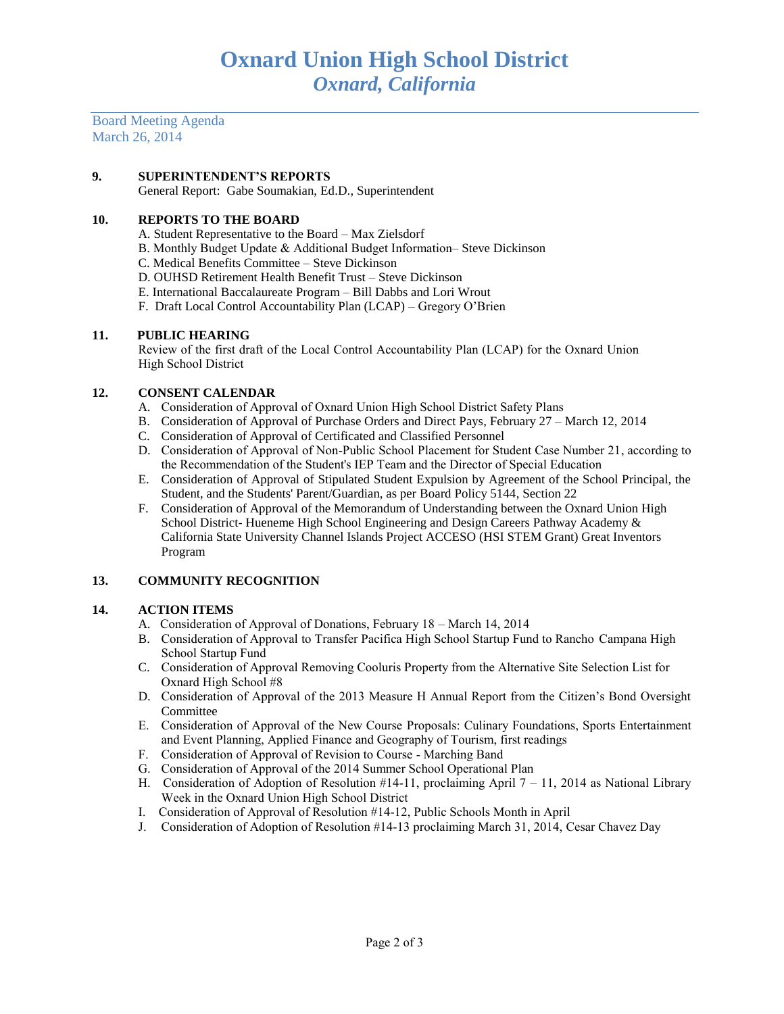Board Meeting Agenda March 26, 2014

## **9. SUPERINTENDENT'S REPORTS**

General Report: Gabe Soumakian, Ed.D., Superintendent

## **10. REPORTS TO THE BOARD**

- A. Student Representative to the Board Max Zielsdorf
- B. Monthly Budget Update & Additional Budget Information– Steve Dickinson
- C. Medical Benefits Committee Steve Dickinson
- D. OUHSD Retirement Health Benefit Trust Steve Dickinson
- E. International Baccalaureate Program Bill Dabbs and Lori Wrout
- F. Draft Local Control Accountability Plan (LCAP) Gregory O'Brien

## **11. PUBLIC HEARING**

Review of the first draft of the Local Control Accountability Plan (LCAP) for the Oxnard Union High School District

# **12. CONSENT CALENDAR**

- A. Consideration of Approval of Oxnard Union High School District Safety Plans
- B. Consideration of Approval of Purchase Orders and Direct Pays, February 27 March 12, 2014
- C. Consideration of Approval of Certificated and Classified Personnel
- D. Consideration of Approval of Non-Public School Placement for Student Case Number 21, according to the Recommendation of the Student's IEP Team and the Director of Special Education
- E. Consideration of Approval of Stipulated Student Expulsion by Agreement of the School Principal, the Student, and the Students' Parent/Guardian, as per Board Policy 5144, Section 22
- F. Consideration of Approval of the Memorandum of Understanding between the Oxnard Union High School District- Hueneme High School Engineering and Design Careers Pathway Academy & California State University Channel Islands Project ACCESO (HSI STEM Grant) Great Inventors Program

# **13. COMMUNITY RECOGNITION**

## **14. ACTION ITEMS**

- A.Consideration of Approval of Donations, February 18 March 14, 2014
- B. Consideration of Approval to Transfer Pacifica High School Startup Fund to Rancho Campana High School Startup Fund
- C. Consideration of Approval Removing Cooluris Property from the Alternative Site Selection List for Oxnard High School #8
- D. Consideration of Approval of the 2013 Measure H Annual Report from the Citizen's Bond Oversight Committee
- E. Consideration of Approval of the New Course Proposals: Culinary Foundations, Sports Entertainment and Event Planning, Applied Finance and Geography of Tourism, first readings
- F. Consideration of Approval of Revision to Course Marching Band
- G. Consideration of Approval of the 2014 Summer School Operational Plan
- H. Consideration of Adoption of Resolution #14-11, proclaiming April 7 11, 2014 as National Library Week in the Oxnard Union High School District
- I. Consideration of Approval of Resolution #14-12, Public Schools Month in April
- J. Consideration of Adoption of Resolution #14-13 proclaiming March 31, 2014, Cesar Chavez Day